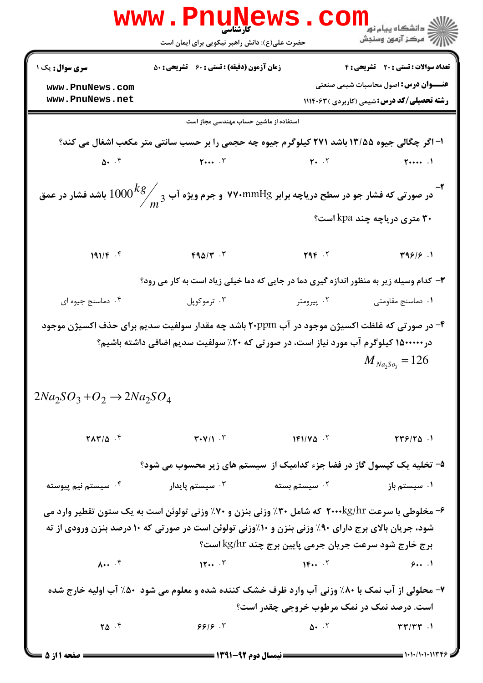|                                                                                                                                                                                                                                                                 | <b>َ کارشناسی</b><br>حضرت علی(ع): دانش راهبر نیکویی برای ایمان است                                                                                                                 |                           | ڪ دانشڪاه پيا <sub>م</sub> نور<br>√ مرڪز آزمون وسنڊش |  |  |
|-----------------------------------------------------------------------------------------------------------------------------------------------------------------------------------------------------------------------------------------------------------------|------------------------------------------------------------------------------------------------------------------------------------------------------------------------------------|---------------------------|------------------------------------------------------|--|--|
| <b>سری سوال :</b> یک ۱                                                                                                                                                                                                                                          | <b>زمان آزمون (دقیقه) : تستی : 60 ٪ تشریحی : 50</b>                                                                                                                                |                           | تعداد سوالات : تستي : 20 - تشريحي : 4                |  |  |
| www.PnuNews.com                                                                                                                                                                                                                                                 |                                                                                                                                                                                    |                           | <b>عنـــوان درس:</b> اصول محاسبات شیمی صنعتی         |  |  |
| www.PnuNews.net                                                                                                                                                                                                                                                 |                                                                                                                                                                                    |                           | <b>رشته تحصیلی/کد درس:</b> شیمی (کاربردی ) ۱۱۱۴۰۶۳   |  |  |
| استفاده از ماشین حساب مهندسی مجاز است                                                                                                                                                                                                                           |                                                                                                                                                                                    |                           |                                                      |  |  |
|                                                                                                                                                                                                                                                                 | ا- اگر چگالی جیوه ۱۳/۵۵ باشد ۲۷۱ کیلوگرم جیوه چه حجمی را بر حسب سانتی متر مکعب اشغال می کند؟                                                                                       |                           |                                                      |  |  |
|                                                                                                                                                                                                                                                                 |                                                                                                                                                                                    |                           | $\uparrow \cdots$ .                                  |  |  |
| در صورتی که فشار جو در سطح دریاچه برابر ۷۷۰mmHg و جرم ویژه آب $\frac{kg}{m^3}$ $1000$ باشد فشار در عمق $^{\bullet}$                                                                                                                                             |                                                                                                                                                                                    |                           |                                                      |  |  |
|                                                                                                                                                                                                                                                                 | ۳۰ متری دریاچه چند kpa است؟                                                                                                                                                        |                           |                                                      |  |  |
| 191/F.5                                                                                                                                                                                                                                                         | $FA\Delta/\Upsilon$ .                                                                                                                                                              | YAP.7                     | Y99/5.1                                              |  |  |
| ۳- کدام وسیله زیر به منظور اندازه گیری دما در جایی که دما خیلی زیاد است به کار می رود؟                                                                                                                                                                          |                                                                                                                                                                                    |                           |                                                      |  |  |
| ۰۴ دماسنج جيوه اي                                                                                                                                                                                                                                               | ۰۳ ترموکوپل                                                                                                                                                                        | ۰۲ پیرومتر                | ٠١ دماسنج مقاومتي                                    |  |  |
| $2Na_2SO_3+O_2 \rightarrow 2Na_2SO_4$                                                                                                                                                                                                                           | ۴- در صورتی که غلظت اکسیژن موجود در آب ۲۰ppm باشد چه مقدار سولفیت سدیم برای حذف اکسیژن موجود<br>در۱۵۰۰۰۰۰ کیلوگرم آب مورد نیاز است، در صورتی که ۲۰٪ سولفیت سدیم اضافی داشته باشیم؟ |                           | $M_{Na_2So_3} = 126$                                 |  |  |
|                                                                                                                                                                                                                                                                 | $\mathsf{YAY}/\Delta$ $\mathsf{Y}$ $\mathsf{Y+Y}/\Delta$ $\mathsf{Y}$<br>$1F1/V\Delta$ $V$                                                                                         |                           | $\gamma \gamma \gamma / \gamma \Delta$ .             |  |  |
|                                                                                                                                                                                                                                                                 | ۵– تخلیه یک کپسول گاز در فضا جزء کدامیک از  سیستم های زیر محسوب می شود؟                                                                                                            |                           |                                                      |  |  |
| ۰ <sup>۴</sup> سیستم نیم پیوسته                                                                                                                                                                                                                                 | سیستم پایدار $\cdot^{\mathsf{v}}$                                                                                                                                                  | ۰ <sup>۲</sup> سیستم بسته | ۰۱ سیستم باز                                         |  |  |
| ۶- مخلوطی با سرعت ۲۰۰۰kg/hr که شامل ۳۰٪ وزنی بنزن و ۷۰٪ وزنی تولوئن است به یک ستون تقطیر وارد می<br>شود، جریان بالای برج دارای ۹۰٪ وزنی بنزن و ۱۰٪وزنی تولوئن است در صورتی که ۱۰ درصد بنزن ورودی از ته<br>برج خارج شود سرعت جریان جرمی پایین برج چند kg/hr است؟ |                                                                                                                                                                                    |                           |                                                      |  |  |
| $\lambda \cdots$ $\lambda$                                                                                                                                                                                                                                      | $\mathbf{Y} \cdot \cdot \cdot \mathbf{Y}$                                                                                                                                          |                           | 91                                                   |  |  |
| ۷- محلولی از آب نمک با ۸۰٪ وزنی آب وارد ظرف خشک کننده شده و معلوم می شود ۵۰٪ آب اولیه خارج شده<br>است. درصد نمک در نمک مرطوب خروجی چقدر است؟                                                                                                                    |                                                                                                                                                                                    |                           |                                                      |  |  |
| $\Upsilon \Delta$ .                                                                                                                                                                                                                                             | 999.7                                                                                                                                                                              |                           | $\Delta$ . $\zeta$                                   |  |  |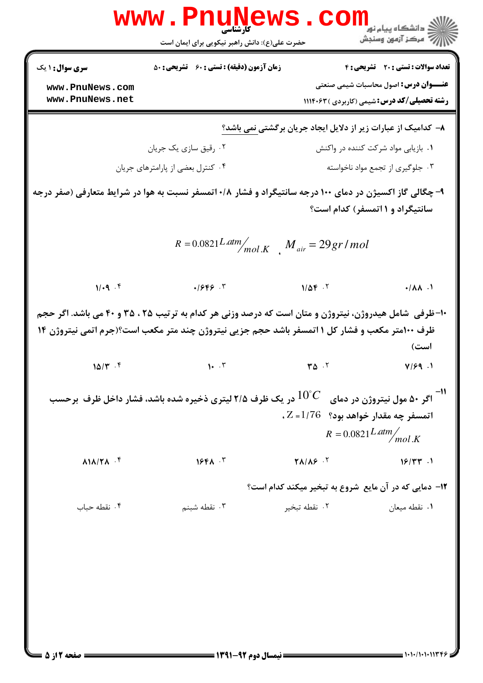|                                                                                          | www.PnuNews.<br>حضرت علی(ع): دانش راهبر نیکویی برای ایمان است                                                                                                                                                                                     |                                                                                | ڪ دانشڪاه پيا <sub>م</sub> نور<br>۾ مرڪز آزمون وسنجش                                               |  |
|------------------------------------------------------------------------------------------|---------------------------------------------------------------------------------------------------------------------------------------------------------------------------------------------------------------------------------------------------|--------------------------------------------------------------------------------|----------------------------------------------------------------------------------------------------|--|
| <b>سری سوال : ۱ یک</b>                                                                   | <b>زمان آزمون (دقیقه) : تستی : 60 ٪ تشریحی : 50</b>                                                                                                                                                                                               |                                                                                | تعداد سوالات : تستى : 20 تشريحي : 4                                                                |  |
| www.PnuNews.com<br>www.PnuNews.net                                                       |                                                                                                                                                                                                                                                   |                                                                                | <b>عنـــوان درس:</b> اصول محاسبات شیمی صنعتی<br><b>رشته تحصیلی/کد درس:</b> شیمی (کاربردی ) ۱۱۱۴۰۶۳ |  |
|                                                                                          |                                                                                                                                                                                                                                                   |                                                                                | ۸– کدامیک از عبارات زیر از دلایل ایجاد جریان برگشتی نمی باشد؟                                      |  |
|                                                                                          | ۰۲ رقیق سازی یک جریان                                                                                                                                                                                                                             |                                                                                | ۰۱ بازیابی مواد شرکت کننده در واکنش                                                                |  |
|                                                                                          | ۰۴ کنترل بعضی از پارامترهای جریان                                                                                                                                                                                                                 |                                                                                | ۰۳ جلوگیری از تجمع مواد ناخواسته                                                                   |  |
|                                                                                          | ۹- چگالی گاز اکسیژن در دمای ۱۰۰ درجه سانتیگراد و فشار ۰/۸ اتمسفر نسبت به هوا در شرایط متعارفی (صفر درجه                                                                                                                                           |                                                                                | سانتیگراد و ۱ اتمسفر) کدام است؟                                                                    |  |
|                                                                                          | $R = 0.0821$ L atm $\frac{M}{mol.K}$ $M_{air} = 29gr/mol$                                                                                                                                                                                         |                                                                                |                                                                                                    |  |
| 1/4.9                                                                                    | .1999.7                                                                                                                                                                                                                                           | $1/\Delta f$ .                                                                 | .141                                                                                               |  |
| $10/\tau$ .                                                                              | <b>۰۱- ظرفی  شامل هیدروژن، نیتروژن و متان است که درصد وزنی هر کدام به ترتیب ۲۵ ، ۳۵ و ۴۰ می باشد. اگر حجم</b><br>ظرف ۱۰۰متر مکعب و فشار کل ۱ اتمسفر باشد حجم جزیی نیتروژن چند متر مکعب است؟(جرم اتمی نیتروژن ۱۴<br>$\mathbf{1.} \cdot \mathbf{r}$ | $T^{\Delta}$ .                                                                 | است)<br>V/99.1                                                                                     |  |
|                                                                                          | ا-<br>اگر ۵۰ مول نیتروژن در دمای $C$ $C$ در یک ظرف ۲/۵ لیتری ذخیره شده باشد، فشار داخل ظرف برحسب $\cdot$                                                                                                                                          |                                                                                | $\mathcal{L} = 1/76$ اتمسفر چه مقدار خواهد بود؟ $Z = 1/76$<br>$R = 0.0821$ Latm $\frac{m}{mol}$ K  |  |
| $\lambda$ $\lambda$ $\lambda$ $\lambda$ $\lambda$ $\lambda$ <sup><math>\tau</math></sup> | $19F\Lambda$ .                                                                                                                                                                                                                                    | $\mathbf{Y}$ $\mathbf{\Lambda}$ / $\mathbf{\Lambda}$ $\mathbf{S}$ $\mathbf{N}$ | $18/TT$ .                                                                                          |  |
|                                                                                          |                                                                                                                                                                                                                                                   |                                                                                | <b>۱۲</b> - دمایی که در آن مایع شروع به تبخیر میکند کدام است؟                                      |  |
| ۰۴ نقطه حباب                                                                             | ۰۳ نقطه شبنم                                                                                                                                                                                                                                      | ۰۲ نقطه تبخير                                                                  | ٠١ نقطه ميعان                                                                                      |  |
|                                                                                          |                                                                                                                                                                                                                                                   |                                                                                |                                                                                                    |  |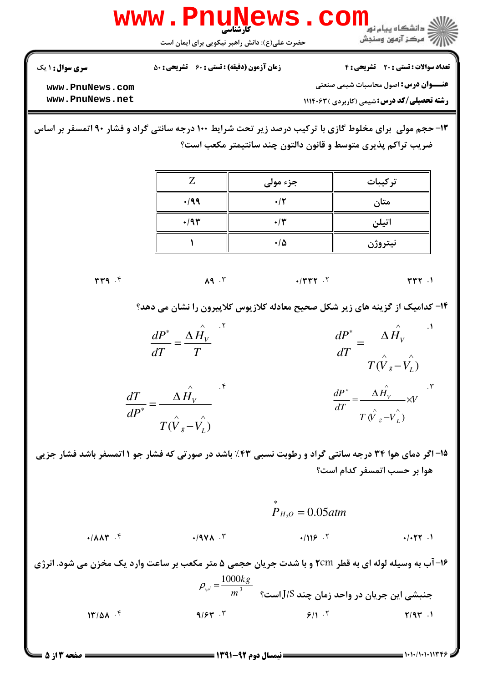

 $17/\Delta\lambda$ .

 $= 1.1.11.111779$ 

**: صفحه 3 از 5 =**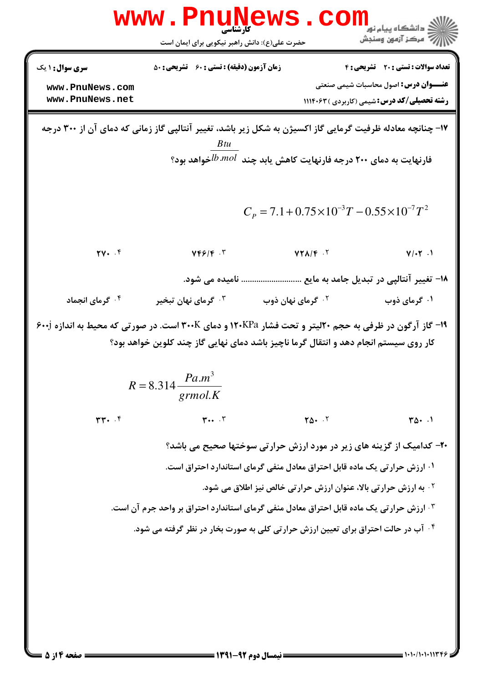| <b>WWW</b>                                                                                                                                                    | کارشناسی<br>حضرت علی(ع): دانش راهبر نیکویی برای ایمان است                                                                                                                                                                                 |                                                               | ≦ دانشگاه پيام نو <mark>ر</mark><br>رِ آھرڪز آزمون وسنڊش                                                                                         |  |
|---------------------------------------------------------------------------------------------------------------------------------------------------------------|-------------------------------------------------------------------------------------------------------------------------------------------------------------------------------------------------------------------------------------------|---------------------------------------------------------------|--------------------------------------------------------------------------------------------------------------------------------------------------|--|
| <b>سری سوال : ۱ یک</b><br>www.PnuNews.com<br>www.PnuNews.net                                                                                                  | <b>زمان آزمون (دقیقه) : تستی : 60 ٪ تشریحی : 50</b>                                                                                                                                                                                       |                                                               | <b>تعداد سوالات : تستی : 20 تشریحی : 4</b><br><b>عنـــوان درس:</b> اصول محاسبات شیمی صنعتی<br><b>رشته تحصیلی/کد درس:</b> شیمی (کاربردی ) ۱۱۱۴۰۶۳ |  |
|                                                                                                                                                               | ۱۷- چنانچه معادله ظرفیت گرمایی گاز اکسیژن به شکل زیر باشد، تغییر آنتالپی گاز زمانی که دمای آن از ۳۰۰ درجه<br>B tu<br>فارنهایت به دمای ۲۰۰ درجه فارنهایت کاهش یابد چند $b$ <i>.mol ف</i> واهد بود؟                                         |                                                               |                                                                                                                                                  |  |
|                                                                                                                                                               |                                                                                                                                                                                                                                           | $C_p = 7.1 + 0.75 \times 10^{-3} T - 0.55 \times 10^{-7} T^2$ |                                                                                                                                                  |  |
| $\mathbf{Y} \cdot \cdot \mathbf{Y}$                                                                                                                           | $YF5/F$ .                                                                                                                                                                                                                                 | $YY\Lambda/F$ .                                               | $V/\cdot Y$ .                                                                                                                                    |  |
|                                                                                                                                                               | نامیده می شود.                                                                                                                                                                                                                            |                                                               | ۱۸− تغییر آنتالپی در تبدیل جامد به مایع                                                                                                          |  |
| ۰ <sup>۴ گ</sup> رمای انجماد                                                                                                                                  | گرمای نهان تبخیر $\cdot^{\mathtt{w}}$                                                                                                                                                                                                     | ۰ <sup>۲ گ</sup> رمای نهان ذوب                                | ۰۱ گرمای ذوب                                                                                                                                     |  |
|                                                                                                                                                               | ۱۹- گاز آرگون در ظرفی به حجم ۲۰لیتر و تحت فشار ۱۲۰KPa و دمای ۳۰۰K است. در صورتی که محیط به اندازه ۶۰۰j<br>کار روی سیستم انجام دهد و انتقال گرما ناچیز باشد دمای نهایی گاز چند کلوین خواهد بود؟<br>$R = 8.314 \frac{Pa.m^3}{m}$<br>grmol.K |                                                               |                                                                                                                                                  |  |
| $rr - r$                                                                                                                                                      | $\mathbf{r} \cdot \cdot \cdot \mathbf{r}$                                                                                                                                                                                                 | $\Upsilon \Delta$ . $\Upsilon$                                | $T\Delta t$ .                                                                                                                                    |  |
| ۲۰- کدامیک از گزینه های زیر در مورد ارزش حرارتی سوختها صحیح می باشد؟<br><sup>۱</sup> · ارزش حرارتی یک ماده قابل احتراق معادل منفی گرمای استاندارد احتراق است. |                                                                                                                                                                                                                                           |                                                               |                                                                                                                                                  |  |
| <b>10 به ارزش حرارتی بالا، عنوان ارزش حرارتی خالص نیز اطلاق می شود.</b>                                                                                       |                                                                                                                                                                                                                                           |                                                               |                                                                                                                                                  |  |
|                                                                                                                                                               | <b>۳ · ارزش حرارتی یک ماده قابل احتراق معادل منفی گرمای استاندارد احتراق بر واحد جرم آن است.</b>                                                                                                                                          |                                                               |                                                                                                                                                  |  |
|                                                                                                                                                               | <sup>۴ .</sup> آب در حالت احتراق برای تعیین ارزش حرارتی کلی به صورت بخار در نظر گرفته می شود.                                                                                                                                             |                                                               |                                                                                                                                                  |  |
|                                                                                                                                                               |                                                                                                                                                                                                                                           |                                                               |                                                                                                                                                  |  |